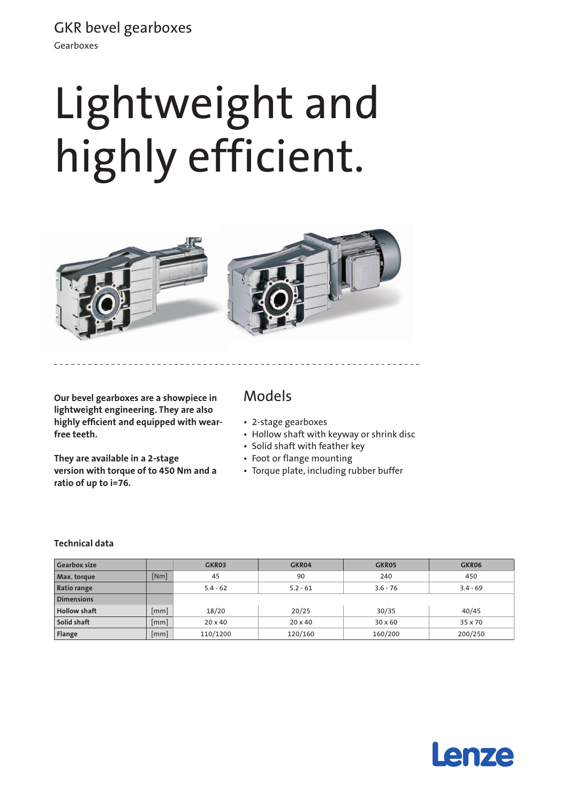GKR bevel gearboxes

Gearboxes

# Lightweight and highly efficient.



**Our bevel gearboxes are a showpiece in lightweight engineering. They are also highly efficient and equipped with wearfree teeth.** 

**They are available in a 2-stage version with torque of to 450 Nm and a ratio of up to i=76.**

### Models

- • 2-stage gearboxes
- Hollow shaft with keyway or shrink disc
- • Solid shaft with feather key
- • Foot or flange mounting
- Torque plate, including rubber buffer

#### **Technical data**

| <b>Gearbox size</b> |      | GKR03          | GKR04          | GKR05          | GKR06      |
|---------------------|------|----------------|----------------|----------------|------------|
| Max. torque         | [Nm] | 45             | 90             | 240            | 450        |
| Ratio range         |      | $5.4 - 62$     | $5.2 - 61$     | $3.6 - 76$     | $3.4 - 69$ |
| <b>Dimensions</b>   |      |                |                |                |            |
| <b>Hollow shaft</b> | [mm] | 18/20          | 20/25          | 30/35          | 40/45      |
| Solid shaft         | mm   | $20 \times 40$ | $20 \times 40$ | $30 \times 60$ | 35 x 70    |
| Flange              | [mm] | 110/1200       | 120/160        | 160/200        | 200/250    |